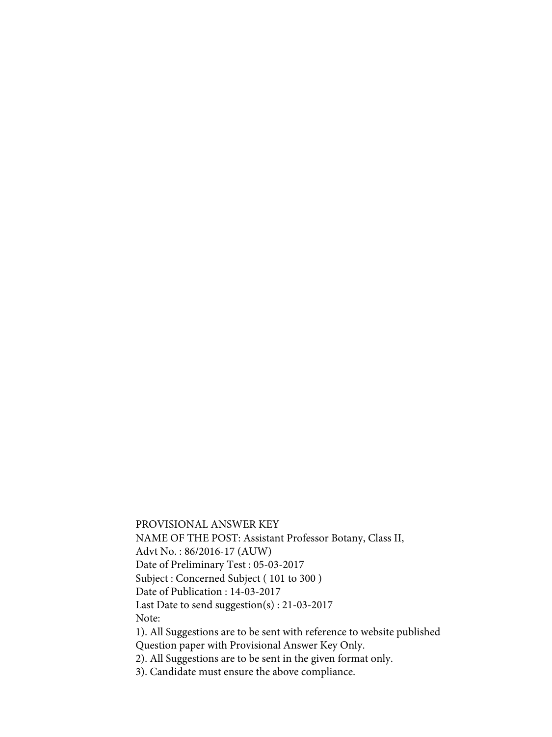PROVISIONAL ANSWER KEY NAME OF THE POST: Assistant Professor Botany, Class II, Advt No. : 86/2016-17 (AUW) Date of Preliminary Test : 05-03-2017 Subject : Concerned Subject ( 101 to 300 ) Date of Publication : 14-03-2017 Last Date to send suggestion(s) : 21-03-2017 Note: 1). All Suggestions are to be sent with reference to website published Question paper with Provisional Answer Key Only.

2). All Suggestions are to be sent in the given format only.

3). Candidate must ensure the above compliance.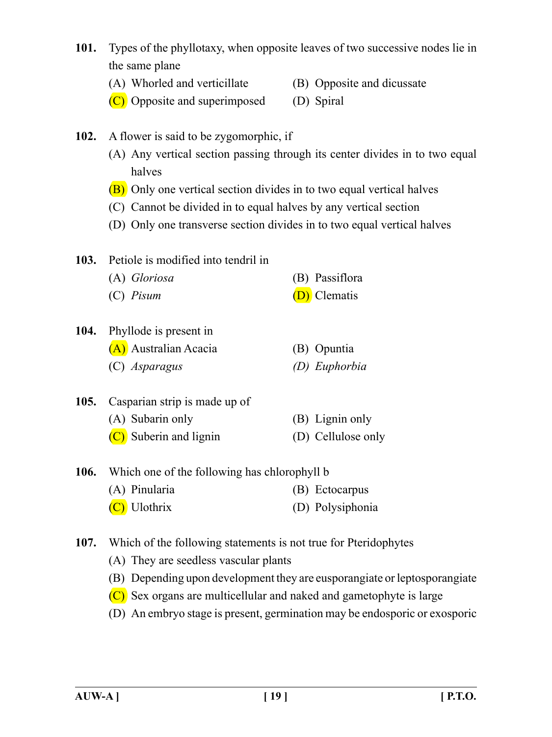- **101.** Types of the phyllotaxy, when opposite leaves of two successive nodes lie in the same plane
	- (A) Whorled and verticillate (B) Opposite and dicussate
	- (C) Opposite and superimposed (D) Spiral
- **102.** A flower is said to be zygomorphic, if
	- (A) Any vertical section passing through its center divides in to two equal halves
	- (B) Only one vertical section divides in to two equal vertical halves
	- (C) Cannot be divided in to equal halves by any vertical section
	- (D) Only one transverse section divides in to two equal vertical halves
- **103.** Petiole is modified into tendril in (A) *Gloriosa* (B) Passiflora (C) *Pisum* (D) Clematis
- **104.** Phyllode is present in
	- (A) Australian Acacia (B) Opuntia (C) *Asparagus (D) Euphorbia*
- **105.** Casparian strip is made up of (A) Subarin only (B) Lignin only (C) Suberin and lignin (D) Cellulose only
- **106.** Which one of the following has chlorophyll b (A) Pinularia (B) Ectocarpus (C) Ulothrix (D) Polysiphonia
- **107.** Which of the following statements is not true for Pteridophytes
	- (A) They are seedless vascular plants
	- (B) Depending upon development they are eusporangiate or leptosporangiate
	- (C) Sex organs are multicellular and naked and gametophyte is large
	- (D) An embryo stage is present, germination may be endosporic or exosporic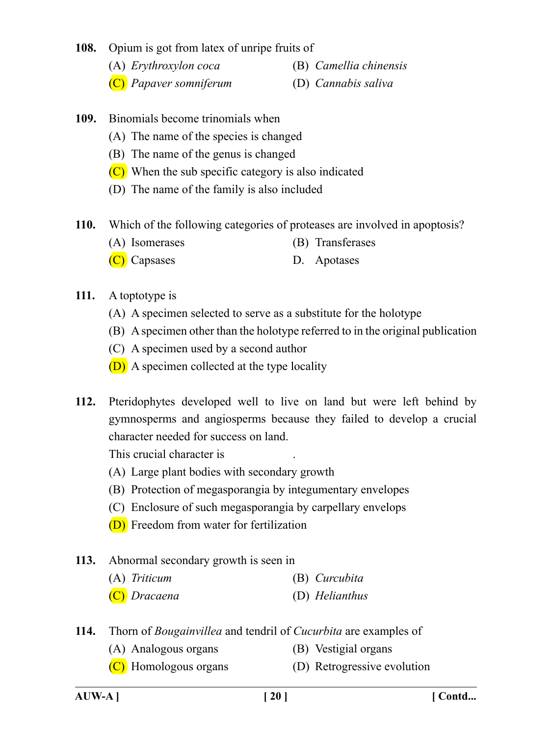#### **108.** Opium is got from latex of unripe fruits of

- (A) *Erythroxylon coca* (B) *Camellia chinensis*
- (C) *Papaver somniferum* (D) *Cannabis saliva*
- **109.** Binomials become trinomials when
	- (A) The name of the species is changed
	- (B) The name of the genus is changed
	- $(C)$  When the sub specific category is also indicated
	- (D) The name of the family is also included
- **110.** Which of the following categories of proteases are involved in apoptosis?
	- (A) Isomerases (B) Transferases
	- (C) Capsases D. Apotases
- **111.** A toptotype is
	- (A) A specimen selected to serve as a substitute for the holotype
	- (B) A specimen other than the holotype referred to in the original publication
	- (C) A specimen used by a second author
	- (D) A specimen collected at the type locality
- **112.** Pteridophytes developed well to live on land but were left behind by gymnosperms and angiosperms because they failed to develop a crucial character needed for success on land.

This crucial character is .

- (A) Large plant bodies with secondary growth
- (B) Protection of megasporangia by integumentary envelopes
- (C) Enclosure of such megasporangia by carpellary envelops
- (D) Freedom from water for fertilization
- **113.** Abnormal secondary growth is seen in
	- (A) *Triticum* (B) *Curcubita*
	- (C) *Dracaena* (D) *Helianthus*
- **114.** Thorn of *Bougainvillea* and tendril of *Cucurbita* are examples of
	- (A) Analogous organs (B) Vestigial organs
	- $(C)$  Homologous organs  $(D)$  Retrogressive evolution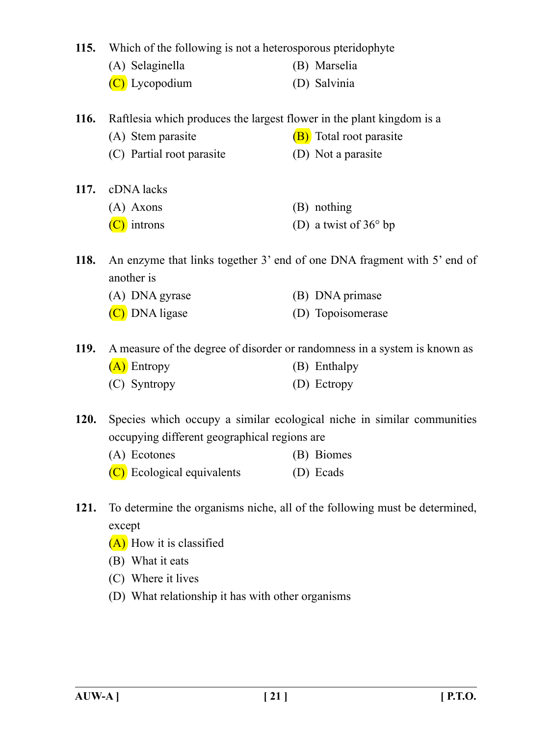**115.** Which of the following is not a heterosporous pteridophyte

- (A) Selaginella (B) Marselia
- (C) Lycopodium (D) Salvinia

**116.** Raftlesia which produces the largest flower in the plant kingdom is a

- (A) Stem parasite  $(B)$  Total root parasite
- (C) Partial root parasite (D) Not a parasite
- **117.** cDNA lacks (A) Axons (B) nothing
	- $(C)$  introns (D) a twist of 36 $\degree$  bp
- **118.** An enzyme that links together 3' end of one DNA fragment with 5' end of another is
	- (A) DNA gyrase (B) DNA primase
	- (C) DNA ligase (D) Topoisomerase
- **119.** A measure of the degree of disorder or randomness in a system is known as
	- (A) Entropy (B) Enthalpy
	- (C) Syntropy (D) Ectropy
- **120.** Species which occupy a similar ecological niche in similar communities occupying different geographical regions are
	- (A) Ecotones (B) Biomes
	- (C) Ecological equivalents (D) Ecads
- **121.** To determine the organisms niche, all of the following must be determined, except
	- (A) How it is classified
	- (B) What it eats
	- (C) Where it lives
	- (D) What relationship it has with other organisms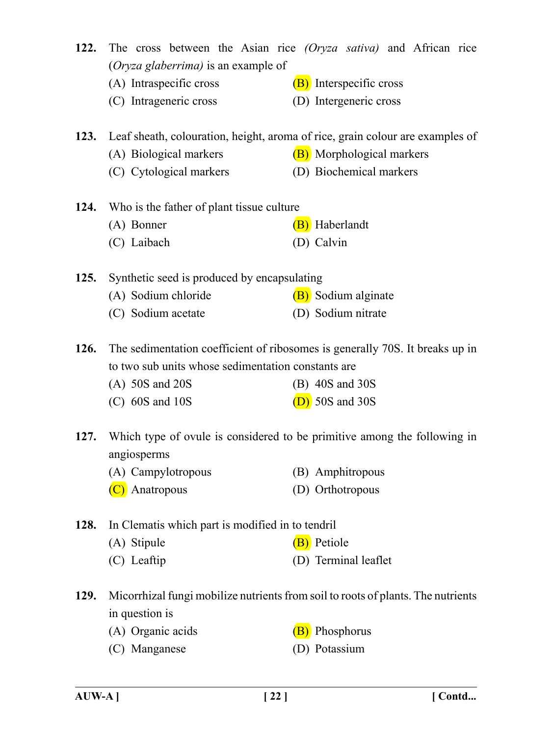- **122.** The cross between the Asian rice *(Oryza sativa)* and African rice (*Oryza glaberrima)* is an example of
	- (A) Intraspecific cross  $(B)$  Interspecific cross
	- (C) Intrageneric cross (D) Intergeneric cross

**123.** Leaf sheath, colouration, height, aroma of rice, grain colour are examples of

- (A) Biological markers  $(B)$  Morphological markers
- (C) Cytological markers (D) Biochemical markers

**124.** Who is the father of plant tissue culture (A) Bonner (B) Haberlandt

(C) Laibach (D) Calvin

**125.** Synthetic seed is produced by encapsulating

- (A) Sodium chloride  $(B)$  Sodium alginate
- (C) Sodium acetate (D) Sodium nitrate

**126.** The sedimentation coefficient of ribosomes is generally 70S. It breaks up in to two sub units whose sedimentation constants are

- (A) 50S and 20S (B) 40S and 30S
- (C)  $60S$  and  $10S$  (D)  $50S$  and  $30S$

**127.** Which type of ovule is considered to be primitive among the following in angiosperms

(A) Campylotropous (B) Amphitropous (C) Anatropous (D) Orthotropous

**128.** In Clematis which part is modified in to tendril

- (A) Stipule  $(B)$  Petiole
- (C) Leaftip (D) Terminal leaflet
- **129.** Micorrhizal fungi mobilize nutrients from soil to roots of plants. The nutrients in question is
	- (A) Organic acids (B) Phosphorus
	- (C) Manganese (D) Potassium
- 
-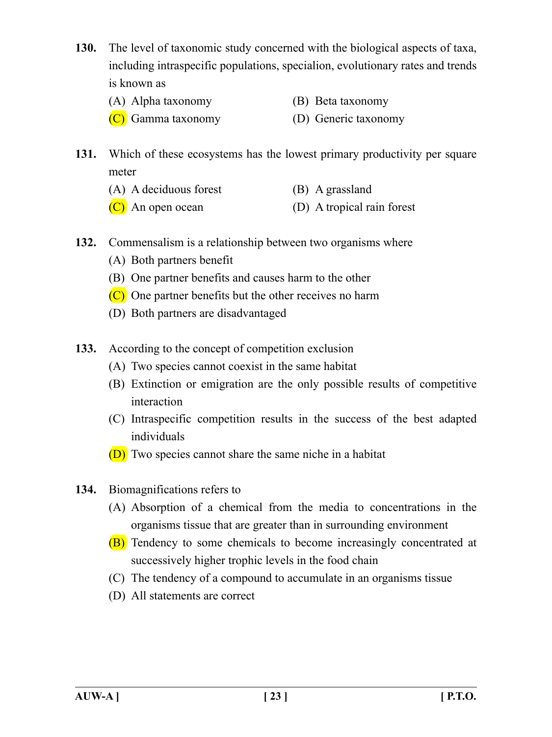- **130.** The level of taxonomic study concerned with the biological aspects of taxa, including intraspecific populations, specialion, evolutionary rates and trends is known as
	- (A) Alpha taxonomy (B) Beta taxonomy
	- (C) Gamma taxonomy (D) Generic taxonomy
- **131.** Which of these ecosystems has the lowest primary productivity per square meter
	- (A) A deciduous forest (B) A grassland
	- (C) An open ocean (D) A tropical rain forest
- **132.** Commensalism is a relationship between two organisms where
	- (A) Both partners benefit
	- (B) One partner benefits and causes harm to the other
	- (C) One partner benefits but the other receives no harm
	- (D) Both partners are disadvantaged
- **133.** According to the concept of competition exclusion
	- (A) Two species cannot coexist in the same habitat
	- (B) Extinction or emigration are the only possible results of competitive interaction
	- (C) Intraspecific competition results in the success of the best adapted individuals
	- (D) Two species cannot share the same niche in a habitat
- **134.** Biomagnifications refers to
	- (A) Absorption of a chemical from the media to concentrations in the organisms tissue that are greater than in surrounding environment
	- (B) Tendency to some chemicals to become increasingly concentrated at successively higher trophic levels in the food chain
	- (C) The tendency of a compound to accumulate in an organisms tissue
	- (D) All statements are correct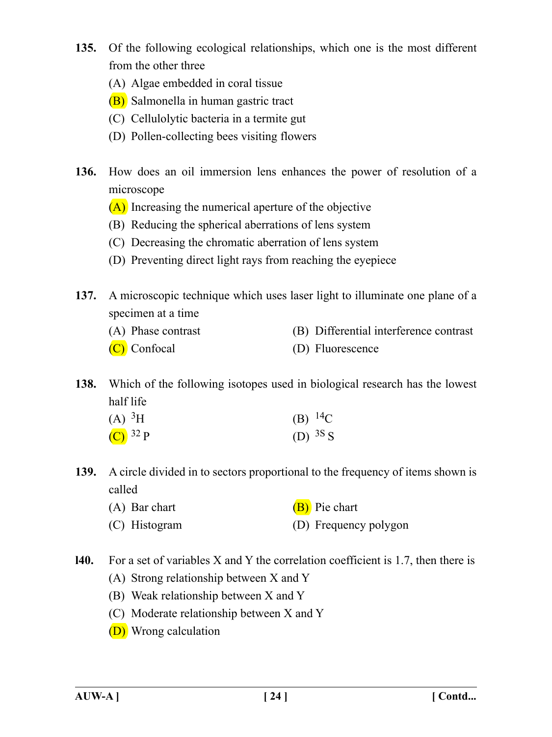- **135.** Of the following ecological relationships, which one is the most different from the other three
	- (A) Algae embedded in coral tissue
	- (B) Salmonella in human gastric tract
	- (C) Cellulolytic bacteria in a termite gut
	- (D) Pollen-collecting bees visiting flowers
- **136.** How does an oil immersion lens enhances the power of resolution of a microscope
	- (A) Increasing the numerical aperture of the objective
	- (B) Reducing the spherical aberrations of lens system
	- (C) Decreasing the chromatic aberration of lens system
	- (D) Preventing direct light rays from reaching the eyepiece
- **137.** A microscopic technique which uses laser light to illuminate one plane of a specimen at a time
	- (A) Phase contrast (B) Differential interference contrast
	- (C) Confocal (D) Fluorescence

**138.** Which of the following isotopes used in biological research has the lowest half life

| (A) ${}^{3}H$ | (B) $^{14}C$ |
|---------------|--------------|
| $(C)^{32}P$   | (D) $3S_S$   |

- **139.** A circle divided in to sectors proportional to the frequency of items shown is called
	- (A) Bar chart  $(B)$  Pie chart
	- (C) Histogram (D) Frequency polygon
- **l40.** For a set of variables X and Y the correlation coefficient is 1.7, then there is
	- (A) Strong relationship between X and Y
	- (B) Weak relationship between X and Y
	- (C) Moderate relationship between X and Y
	- (D) Wrong calculation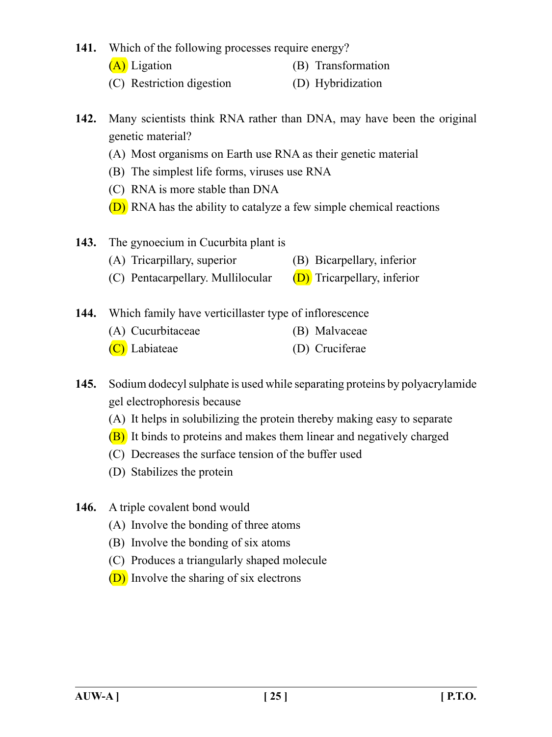**141.** Which of the following processes require energy?

- 
- (A) Ligation (B) Transformation
- (C) Restriction digestion (D) Hybridization
- **142.** Many scientists think RNA rather than DNA, may have been the original genetic material?
	- (A) Most organisms on Earth use RNA as their genetic material
	- (B) The simplest life forms, viruses use RNA
	- (C) RNA is more stable than DNA
	- (D) RNA has the ability to catalyze a few simple chemical reactions
- **143.** The gynoecium in Cucurbita plant is
	- (A) Tricarpillary, superior (B) Bicarpellary, inferior
	- (C) Pentacarpellary. Mullilocular  $(D)$  Tricarpellary, inferior
- **144.** Which family have verticillaster type of inflorescence
	- (A) Cucurbitaceae (B) Malvaceae
		- (C) Labiateae (D) Cruciferae
- **145.** Sodium dodecyl sulphate is used while separating proteins by polyacrylamide gel electrophoresis because
	- (A) It helps in solubilizing the protein thereby making easy to separate
	- (B) It binds to proteins and makes them linear and negatively charged
	- (C) Decreases the surface tension of the buffer used
	- (D) Stabilizes the protein
- **146.** A triple covalent bond would
	- (A) Involve the bonding of three atoms
	- (B) Involve the bonding of six atoms
	- (C) Produces a triangularly shaped molecule
	- (D) Involve the sharing of six electrons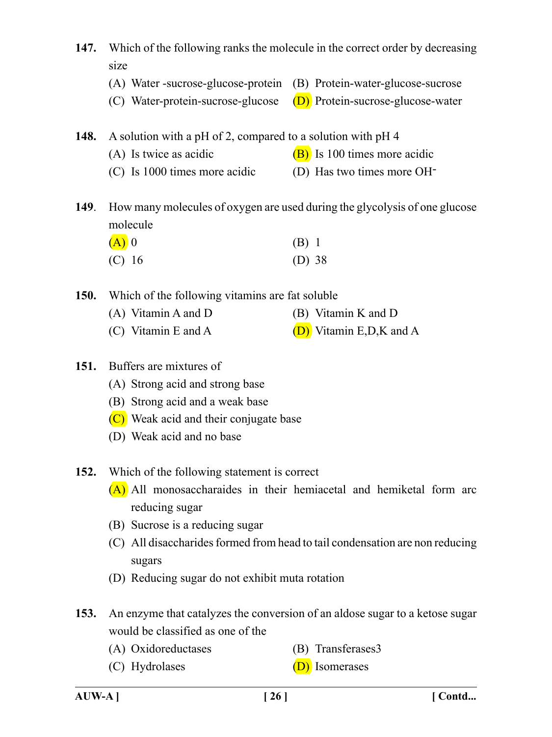**147.** Which of the following ranks the molecule in the correct order by decreasing size (A) Water -sucrose-glucose-protein (B) Protein-water-glucose-sucrose (C) Water-protein-sucrose-glucose  $(D)$  Protein-sucrose-glucose-water **148.** A solution with a pH of 2, compared to a solution with pH 4 (A) Is twice as acidic  $(B)$  Is 100 times more acidic (C) Is 1000 times more acidic (D) Has two times more OH-**149**. How many molecules of oxygen are used during the glycolysis of one glucose molecule  $(A)$  0 (B) 1 (C) 16 (D) 38 **150.** Which of the following vitamins are fat soluble (A) Vitamin A and D (B) Vitamin K and D (C) Vitamin E and A  $(D)$  Vitamin E,D,K and A **151.** Buffers are mixtures of (A) Strong acid and strong base (B) Strong acid and a weak base (C) Weak acid and their conjugate base (D) Weak acid and no base **152.** Which of the following statement is correct (A) All monosaccharaides in their hemiacetal and hemiketal form arc reducing sugar (B) Sucrose is a reducing sugar (C) All disaccharides formed from head to tail condensation are non reducing sugars (D) Reducing sugar do not exhibit muta rotation

- **153.** An enzyme that catalyzes the conversion of an aldose sugar to a ketose sugar would be classified as one of the
	- (A) Oxidoreductases (B) Transferases3
		-
	- (C) Hydrolases (D) Isomerases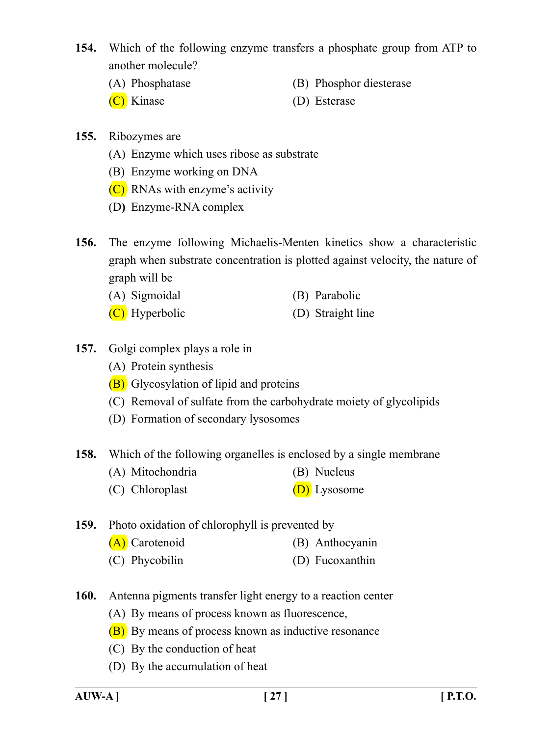- **154.** Which of the following enzyme transfers a phosphate group from ATP to another molecule?
	- (A) Phosphatase (B) Phosphor diesterase
	- (C) Kinase (D) Esterase
- 

- **155.** Ribozymes are
	- (A) Enzyme which uses ribose as substrate
	- (B) Enzyme working on DNA
	- (C) RNAs with enzyme's activity
	- (D**)** Enzyme-RNA complex
- **156.** The enzyme following Michaelis-Menten kinetics show a characteristic graph when substrate concentration is plotted against velocity, the nature of graph will be
	- (A) Sigmoidal (B) Parabolic
	- (C) Hyperbolic (D) Straight line
- **157.** Golgi complex plays a role in
	- (A) Protein synthesis
	- (B) Glycosylation of lipid and proteins
	- (C) Removal of sulfate from the carbohydrate moiety of glycolipids
	- (D) Formation of secondary lysosomes

**158.** Which of the following organelles is enclosed by a single membrane

- (A) Mitochondria (B) Nucleus
- (C) Chloroplast (D) Lysosome

**159.** Photo oxidation of chlorophyll is prevented by

- (A) Carotenoid (B) Anthocyanin
- (C) Phycobilin (D) Fucoxanthin
- **160.** Antenna pigments transfer light energy to a reaction center
	- (A) By means of process known as fluorescence,
	- (B) By means of process known as inductive resonance
	- (C) By the conduction of heat
	- (D) By the accumulation of heat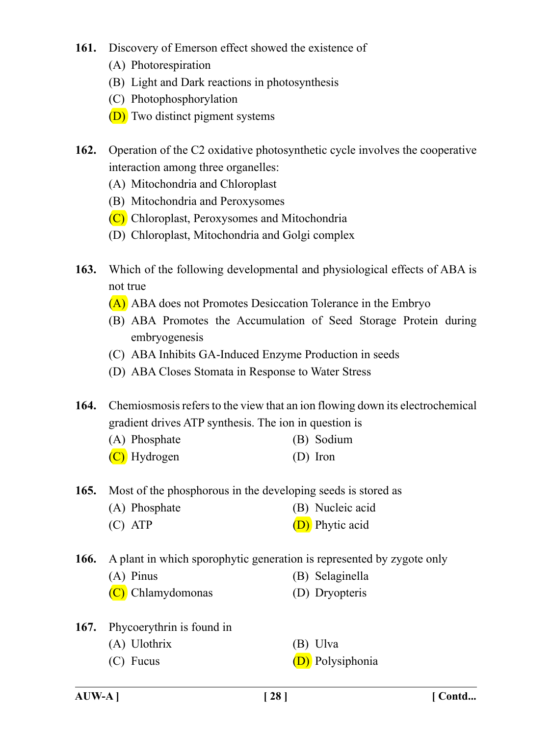## **161.** Discovery of Emerson effect showed the existence of

- (A) Photorespiration
- (B) Light and Dark reactions in photosynthesis
- (C) Photophosphorylation
- (D) Two distinct pigment systems
- **162.** Operation of the C2 oxidative photosynthetic cycle involves the cooperative interaction among three organelles:
	- (A) Mitochondria and Chloroplast
	- (B) Mitochondria and Peroxysomes
	- (C) Chloroplast, Peroxysomes and Mitochondria
	- (D) Chloroplast, Mitochondria and Golgi complex
- **163.** Which of the following developmental and physiological effects of ABA is not true
	- (A) ABA does not Promotes Desiccation Tolerance in the Embryo
	- (B) ABA Promotes the Accumulation of Seed Storage Protein during embryogenesis
	- (C) ABA Inhibits GA-Induced Enzyme Production in seeds
	- (D) ABA Closes Stomata in Response to Water Stress
- **164.** Chemiosmosis refers to the view that an ion flowing down its electrochemical gradient drives ATP synthesis. The ion in question is
	- (A) Phosphate (B) Sodium
	- (C) Hydrogen (D) Iron

**165.** Most of the phosphorous in the developing seeds is stored as

- (A) Phosphate (B) Nucleic acid
- (C) ATP (D) Phytic acid

**166.** A plant in which sporophytic generation is represented by zygote only

- (A) Pinus (B) Selaginella
- (C) Chlamydomonas (D) Dryopteris
- 
- **167.** Phycoerythrin is found in
	- (A) Ulothrix (B) Ulva
	-
- 
- (C) Fucus (D) Polysiphonia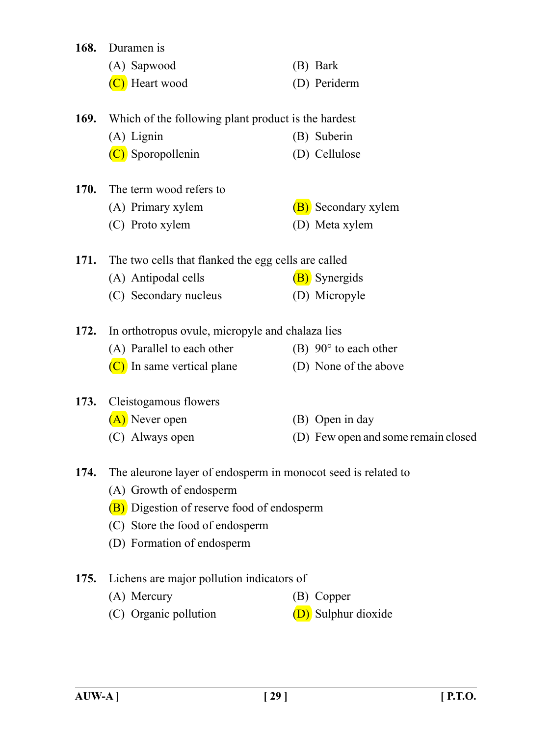| 168.        | Duramen is                                                    |                                     |
|-------------|---------------------------------------------------------------|-------------------------------------|
|             | (A) Sapwood                                                   | (B) Bark                            |
|             | C) Heart wood                                                 | (D) Periderm                        |
| 169.        | Which of the following plant product is the hardest           |                                     |
|             | $(A)$ Lignin                                                  | (B) Suberin                         |
|             | (C) Sporopollenin                                             | (D) Cellulose                       |
| <b>170.</b> | The term wood refers to                                       |                                     |
|             | (A) Primary xylem                                             | (B) Secondary xylem                 |
|             | (C) Proto xylem                                               | (D) Meta xylem                      |
| 171.        | The two cells that flanked the egg cells are called           |                                     |
|             | (A) Antipodal cells                                           | (B) Synergids                       |
|             | (C) Secondary nucleus                                         | (D) Micropyle                       |
| 172.        | In orthotropus ovule, micropyle and chalaza lies              |                                     |
|             | (A) Parallel to each other                                    | $(B)$ 90 $\degree$ to each other    |
|             | (C) In same vertical plane                                    | (D) None of the above               |
| 173.        | Cleistogamous flowers                                         |                                     |
|             | (A) Never open                                                | (B) Open in day                     |
|             | (C) Always open                                               | (D) Few open and some remain closed |
| 174.        | The aleurone layer of endosperm in monocot seed is related to |                                     |
|             | (A) Growth of endosperm                                       |                                     |
|             | (B) Digestion of reserve food of endosperm                    |                                     |
|             | (C) Store the food of endosperm                               |                                     |
|             | (D) Formation of endosperm                                    |                                     |
| 175.        | Lichens are major pollution indicators of                     |                                     |
|             | (A) Mercury                                                   | (B) Copper                          |
|             | (C) Organic pollution                                         | (D) Sulphur dioxide                 |
|             |                                                               |                                     |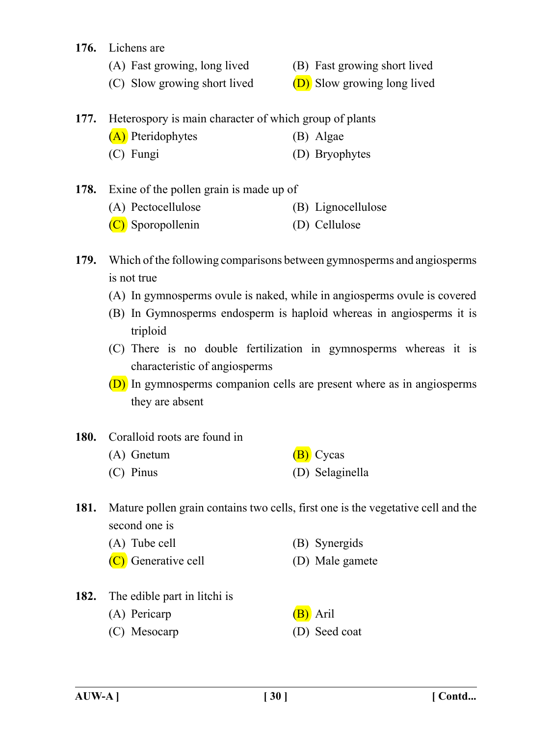#### **176.** Lichens are

- 
- (A) Fast growing, long lived (B) Fast growing short lived
- (C) Slow growing short lived  $(D)$  Slow growing long lived

# **177.** Heterospory is main character of which group of plants

- (A) Pteridophytes (B) Algae
	- (C) Fungi (D) Bryophytes
- **178.** Exine of the pollen grain is made up of
	- (A) Pectocellulose (B) Lignocellulose
	- (C) Sporopollenin (D) Cellulose
- **179.** Which of the following comparisons between gymnosperms and angiosperms is not true
	- (A) In gymnosperms ovule is naked, while in angiosperms ovule is covered
	- (B) In Gymnosperms endosperm is haploid whereas in angiosperms it is triploid
	- (C) There is no double fertilization in gymnosperms whereas it is characteristic of angiosperms
	- (D) In gymnosperms companion cells are present where as in angiosperms they are absent
- **180.** Coralloid roots are found in
	- (A) Gnetum  $(B)$  Cycas (C) Pinus (D) Selaginella
- **181.** Mature pollen grain contains two cells, first one is the vegetative cell and the second one is

| (A) Tube cell | (B) Synergids |
|---------------|---------------|
|---------------|---------------|

- (C) Generative cell (D) Male gamete
- **182.** The edible part in litchi is
	- (A) Pericarp (B) Aril
	- (C) Mesocarp (D) Seed coat
- 
-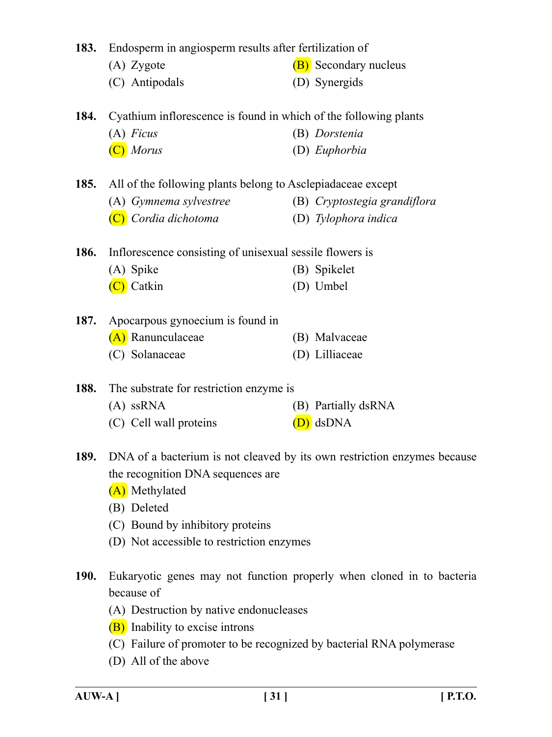|             | 183. Endosperm in angiosperm results after fertilization of                                                                                                                              |                                                                          |  |
|-------------|------------------------------------------------------------------------------------------------------------------------------------------------------------------------------------------|--------------------------------------------------------------------------|--|
|             | (A) Zygote                                                                                                                                                                               | (B) Secondary nucleus                                                    |  |
|             | (C) Antipodals                                                                                                                                                                           | (D) Synergids                                                            |  |
| 184.        | Cyathium inflorescence is found in which of the following plants                                                                                                                         |                                                                          |  |
|             | $(A)$ Ficus                                                                                                                                                                              | (B) Dorstenia                                                            |  |
|             | $(C)$ Morus                                                                                                                                                                              | (D) Euphorbia                                                            |  |
| 185.        | All of the following plants belong to Asclepiadaceae except                                                                                                                              |                                                                          |  |
|             | (A) Gymnema sylvestree                                                                                                                                                                   | (B) Cryptostegia grandiflora                                             |  |
|             | (C) Cordia dichotoma                                                                                                                                                                     | (D) Tylophora indica                                                     |  |
| 186.        | Inflorescence consisting of unisexual sessile flowers is                                                                                                                                 |                                                                          |  |
|             | (A) Spike                                                                                                                                                                                | (B) Spikelet                                                             |  |
|             | (C) Catkin                                                                                                                                                                               | (D) Umbel                                                                |  |
| 187.        | Apocarpous gynoecium is found in                                                                                                                                                         |                                                                          |  |
|             | (A) Ranunculaceae                                                                                                                                                                        | (B) Malvaceae                                                            |  |
|             | (C) Solanaceae                                                                                                                                                                           | (D) Lilliaceae                                                           |  |
| 188.        | The substrate for restriction enzyme is                                                                                                                                                  |                                                                          |  |
|             | $(A)$ ssRNA                                                                                                                                                                              | (B) Partially dsRNA                                                      |  |
|             | (C) Cell wall proteins                                                                                                                                                                   | $(D)$ dsDNA                                                              |  |
| 189.        | the recognition DNA sequences are<br>(A) Methylated<br>(B) Deleted<br>(C) Bound by inhibitory proteins<br>(D) Not accessible to restriction enzymes                                      | DNA of a bacterium is not cleaved by its own restriction enzymes because |  |
|             |                                                                                                                                                                                          |                                                                          |  |
| <b>190.</b> | because of<br>(A) Destruction by native endonucleases<br>(B) Inability to excise introns<br>(C) Failure of promoter to be recognized by bacterial RNA polymerase<br>(D) All of the above | Eukaryotic genes may not function properly when cloned in to bacteria    |  |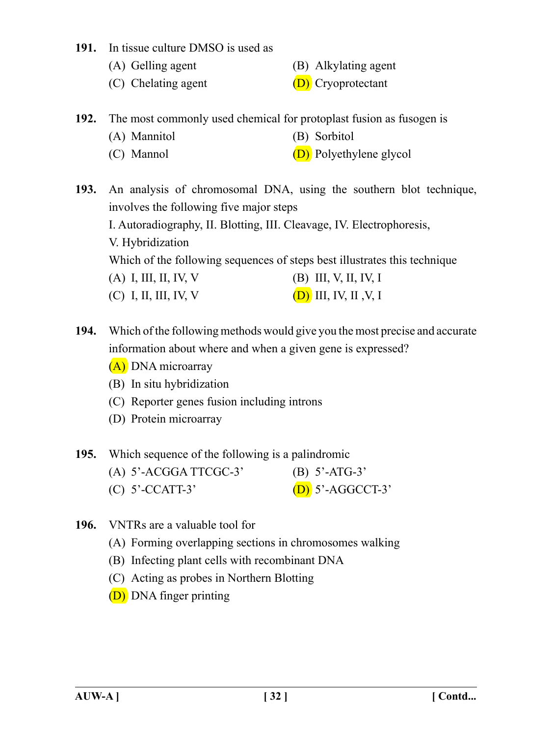#### **191.** In tissue culture DMSO is used as

- (A) Gelling agent (B) Alkylating agent
- (C) Chelating agent  $(D)$  Cryoprotectant
- **192.** The most commonly used chemical for protoplast fusion as fusogen is
	- (A) Mannitol (B) Sorbitol
	- (C) Mannol (D) Polyethylene glycol

**193.** An analysis of chromosomal DNA, using the southern blot technique, involves the following five major steps I. Autoradiography, II. Blotting, III. Cleavage, IV. Electrophoresis, V. Hybridization Which of the following sequences of steps best illustrates this technique (A) I, III, II, IV, V (B) III, V, II, IV, I (C) I, II, III, IV, V (D) III, IV, II ,V, I

- **194.** Which of the following methods would give you the most precise and accurate information about where and when a given gene is expressed?
	- (A) DNA microarray
	- (B) In situ hybridization
	- (C) Reporter genes fusion including introns
	- (D) Protein microarray
- **195.** Which sequence of the following is a palindromic

| $(A)$ 5'-ACGGA TTCGC-3' | (B) $5'$ -ATG-3'   |
|-------------------------|--------------------|
| $(C)$ 5'-CCATT-3'       | $(D)$ 5'-AGGCCT-3' |

- **196.** VNTRs are a valuable tool for
	- (A) Forming overlapping sections in chromosomes walking
	- (B) Infecting plant cells with recombinant DNA
	- (C) Acting as probes in Northern Blotting
	- (D) DNA finger printing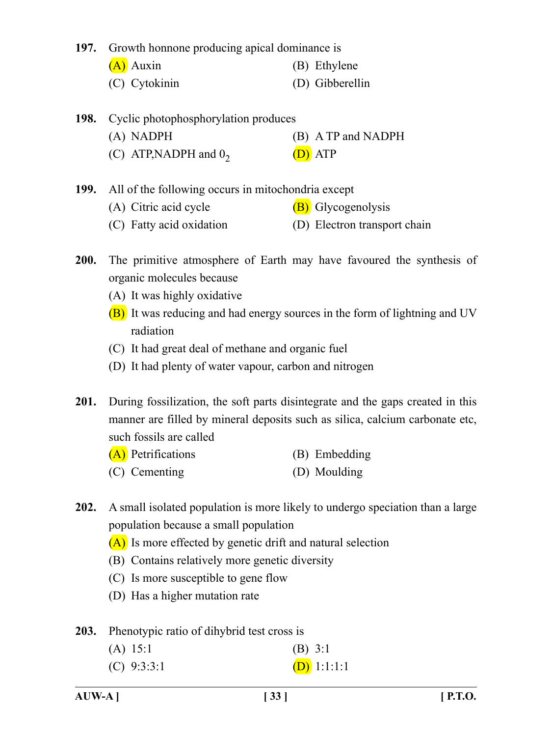**197.** Growth honnone producing apical dominance is

- (A) Auxin (B) Ethylene
- (C) Cytokinin (D) Gibberellin
- **198.** Cyclic photophosphorylation produces
	- (A) NADPH (B) A TP and NADPH
	- (C) ATP, NADPH and  $0<sub>2</sub>$  (D) ATP

**199.** All of the following occurs in mitochondria except

- (A) Citric acid cycle  $(B)$  Glycogenolysis
- (C) Fatty acid oxidation (D) Electron transport chain
- **200.** The primitive atmosphere of Earth may have favoured the synthesis of organic molecules because
	- (A) It was highly oxidative
	- (B) It was reducing and had energy sources in the form of lightning and UV radiation
	- (C) It had great deal of methane and organic fuel
	- (D) It had plenty of water vapour, carbon and nitrogen
- **201.** During fossilization, the soft parts disintegrate and the gaps created in this manner are filled by mineral deposits such as silica, calcium carbonate etc, such fossils are called

| (A) Petrifications | (B) Embedding |
|--------------------|---------------|
| (C) Cementing      | (D) Moulding  |

- **202.** A small isolated population is more likely to undergo speciation than a large population because a small population
	- (A) Is more effected by genetic drift and natural selection
	- (B) Contains relatively more genetic diversity
	- (C) Is more susceptible to gene flow
	- (D) Has a higher mutation rate

**203.** Phenotypic ratio of dihybrid test cross is

| (A) 15:1      | $(B)$ 3:1     |
|---------------|---------------|
| $(C)$ 9:3:3:1 | $(D)$ 1:1:1:1 |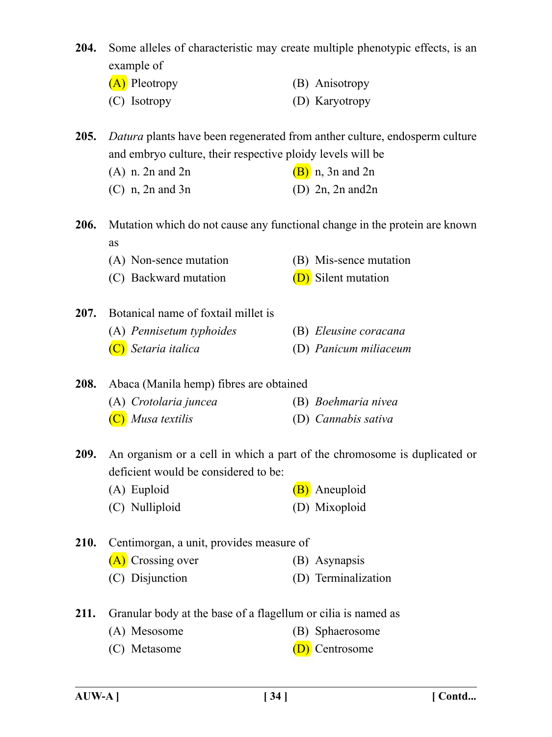- **204.** Some alleles of characteristic may create multiple phenotypic effects, is an example of
	- (A) Pleotropy (B) Anisotropy (C) Isotropy (D) Karyotropy

**205.** *Datura* plants have been regenerated from anther culture, endosperm culture and embryo culture, their respective ploidy levels will be

- (A) n, 2n and 2n (B) n, 3n and 2n
- (C) n,  $2n$  and  $3n$  (D)  $2n$ ,  $2n$  and  $2n$
- **206.** Mutation which do not cause any functional change in the protein are known as
	- (A) Non-sence mutation (B) Mis-sence mutation
	- (C) Backward mutation  $(D)$  Silent mutation
- **207.** Botanical name of foxtail millet is
	- (A) *Pennisetum typhoides* (B) *Eleusine coracana*
	- (C) *Setaria italica* (D) *Panicum miliaceum*

**208.** Abaca (Manila hemp) fibres are obtained

- (A) *Crotolaria juncea* (B) *Boehmaria nivea*
- (C) *Musa textilis* (D) *Cannabis sativa*

**209.** An organism or a cell in which a part of the chromosome is duplicated or deficient would be considered to be:

- (A) Euploid (B) Aneuploid
- (C) Nulliploid (D) Mixoploid
- **210.** Centimorgan, a unit, provides measure of
	- (A) Crossing over (B) Asynapsis
	- (C) Disjunction (D) Terminalization
- **211.** Granular body at the base of a flagellum or cilia is named as
	- (A) Mesosome (B) Sphaerosome
	- (C) Metasome (D) Centrosome
- 
-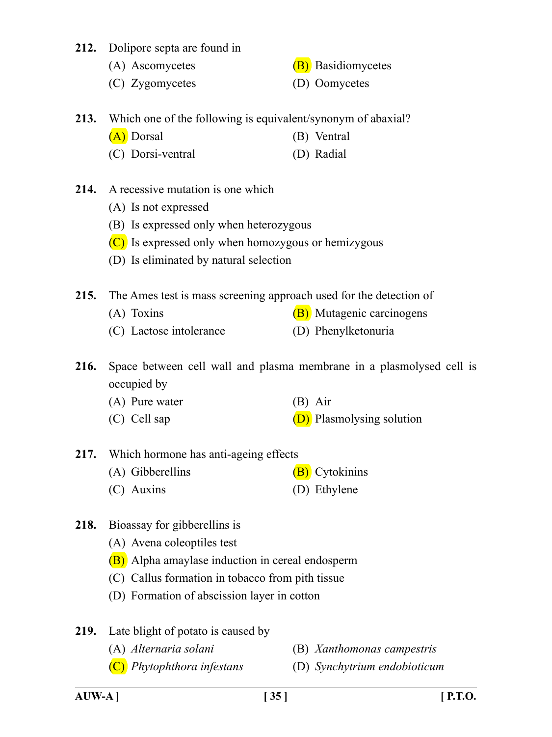- **212.** Dolipore septa are found in
	- (A) Ascomycetes (B) Basidiomycetes
	- (C) Zygomycetes (D) Oomycetes
- **213.** Which one of the following is equivalent/synonym of abaxial?
	- (A) Dorsal (B) Ventral
	- (C) Dorsi-ventral (D) Radial
- **214.** A recessive mutation is one which
	- (A) Is not expressed
	- (B) Is expressed only when heterozygous
	- (C) Is expressed only when homozygous or hemizygous
	- (D) Is eliminated by natural selection

**215.** The Ames test is mass screening approach used for the detection of

- (A) Toxins  $(B)$  Mutagenic carcinogens
- (C) Lactose intolerance (D) Phenylketonuria
- **216.** Space between cell wall and plasma membrane in a plasmolysed cell is occupied by
	- (A) Pure water (B) Air
	- (C) Cell sap  $(D)$  Plasmolysing solution
- **217.** Which hormone has anti-ageing effects
	- (A) Gibberellins  $(B)$  Cytokinins
	- (C) Auxins (D) Ethylene
- **218.** Bioassay for gibberellins is
	- (A) Avena coleoptiles test
	- (B) Alpha amaylase induction in cereal endosperm
	- (C) Callus formation in tobacco from pith tissue
	- (D) Formation of abscission layer in cotton
- **219.** Late blight of potato is caused by
	- (A) *Alternaria solani* (B) *Xanthomonas campestris*
	- (C) *Phytophthora infestans* (D) *Synchytrium endobioticum*
-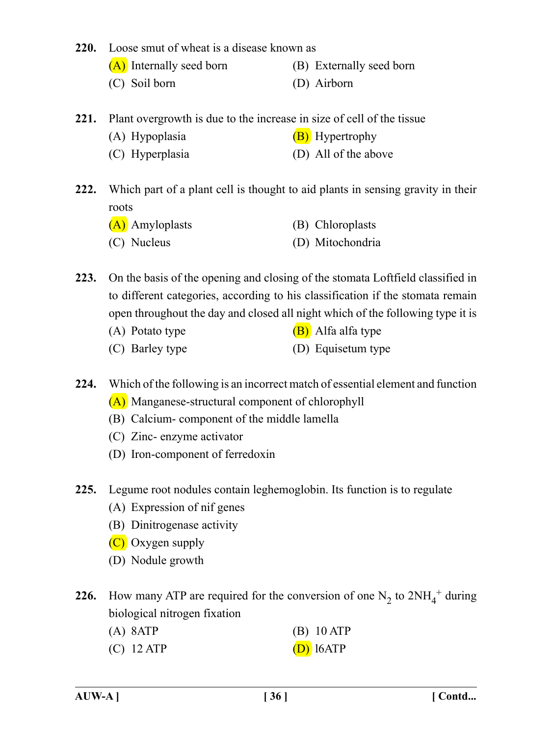#### **220.** Loose smut of wheat is a disease known as

- (A) Internally seed born (B) Externally seed born
- (C) Soil born (D) Airborn
- **221.** Plant overgrowth is due to the increase in size of cell of the tissue
	- (A) Hypoplasia (B) Hypertrophy
	- (C) Hyperplasia (D) All of the above
- **222.** Which part of a plant cell is thought to aid plants in sensing gravity in their roots
	- (A) Amyloplasts (B) Chloroplasts (C) Nucleus (D) Mitochondria
- **223.** On the basis of the opening and closing of the stomata Loftfield classified in to different categories, according to his classification if the stomata remain open throughout the day and closed all night which of the following type it is
	- (A) Potato type  $(B)$  Alfa alfa type
	- (C) Barley type (D) Equisetum type
- **224.** Which of the following is an incorrect match of essential element and function
	- (A) Manganese-structural component of chlorophyll
	- (B) Calcium- component of the middle lamella
	- (C) Zinc- enzyme activator
	- (D) Iron-component of ferredoxin
- **225.** Legume root nodules contain leghemoglobin. Its function is to regulate
	- (A) Expression of nif genes
	- (B) Dinitrogenase activity
	- $(C)$  Oxygen supply
	- (D) Nodule growth
- **226.** How many ATP are required for the conversion of one  $N_2$  to  $2NH_4^+$  during biological nitrogen fixation
	- (A) 8ATP (B) 10 ATP
	- (C) 12 ATP  $(D)$  16 ATP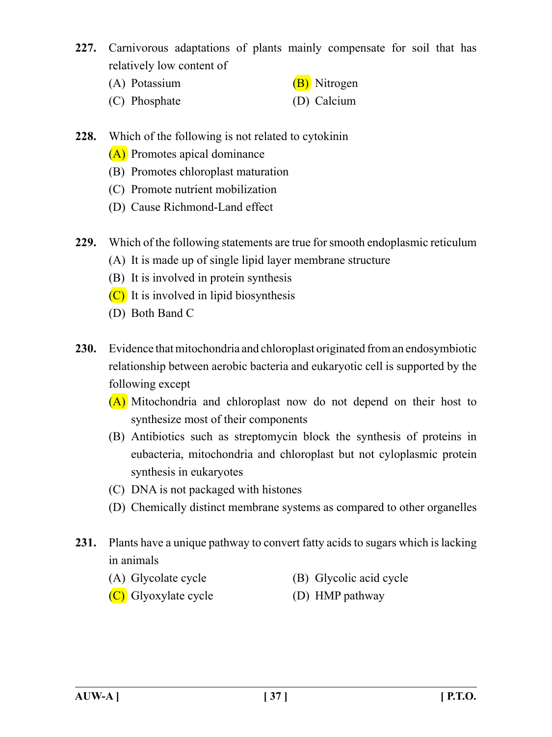- **227.** Carnivorous adaptations of plants mainly compensate for soil that has relatively low content of
	- (A) Potassium  $(B)$  Nitrogen
	- (C) Phosphate (D) Calcium
- **228.** Which of the following is not related to cytokinin
	- (A) Promotes apical dominance
	- (B) Promotes chloroplast maturation
	- (C) Promote nutrient mobilization
	- (D) Cause Richmond-Land effect
- **229.** Which of the following statements are true for smooth endoplasmic reticulum
	- (A) It is made up of single lipid layer membrane structure
	- (B) It is involved in protein synthesis
	- (C) It is involved in lipid biosynthesis
	- (D) Both Band C
- **230.** Evidence that mitochondria and chloroplast originated from an endosymbiotic relationship between aerobic bacteria and eukaryotic cell is supported by the following except
	- (A) Mitochondria and chloroplast now do not depend on their host to synthesize most of their components
	- (B) Antibiotics such as streptomycin block the synthesis of proteins in eubacteria, mitochondria and chloroplast but not cyloplasmic protein synthesis in eukaryotes
	- (C) DNA is not packaged with histones
	- (D) Chemically distinct membrane systems as compared to other organelles
- **231.** Plants have a unique pathway to convert fatty acids to sugars which is lacking in animals
	- (A) Glycolate cycle (B) Glycolic acid cycle
		-
	- (C) Glyoxylate cycle (D) HMP pathway
-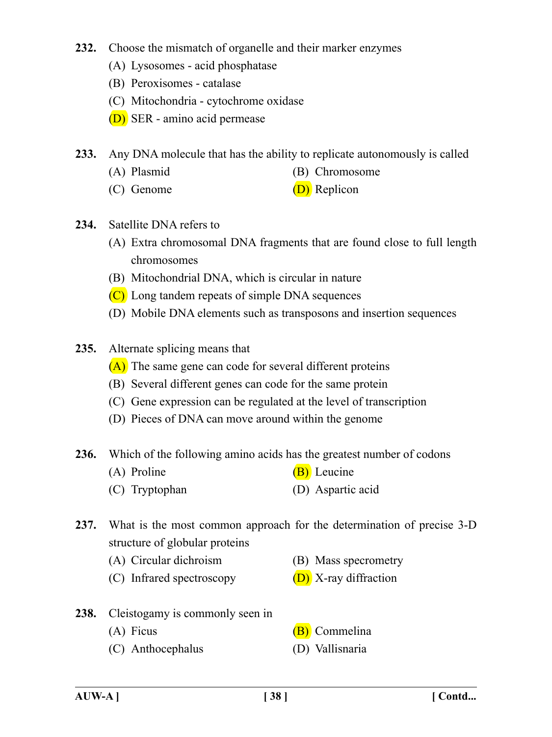## **232.** Choose the mismatch of organelle and their marker enzymes

- (A) Lysosomes acid phosphatase
- (B) Peroxisomes catalase
- (C) Mitochondria cytochrome oxidase
- (D) SER amino acid permease
- **233.** Any DNA molecule that has the ability to replicate autonomously is called
	- (A) Plasmid (B) Chromosome
	- (C) Genome (D) Replicon
- **234.** Satellite DNA refers to
	- (A) Extra chromosomal DNA fragments that are found close to full length chromosomes
	- (B) Mitochondrial DNA, which is circular in nature
	- (C) Long tandem repeats of simple DNA sequences
	- (D) Mobile DNA elements such as transposons and insertion sequences
- **235.** Alternate splicing means that
	- (A) The same gene can code for several different proteins
	- (B) Several different genes can code for the same protein
	- (C) Gene expression can be regulated at the level of transcription
	- (D) Pieces of DNA can move around within the genome
- **236.** Which of the following amino acids has the greatest number of codons
	- (A) Proline  $(B)$  Leucine
	- (C) Tryptophan (D) Aspartic acid
- **237.** What is the most common approach for the determination of precise 3-D structure of globular proteins
	- (A) Circular dichroism (B) Mass specrometry
	- (C) Infrared spectroscopy  $(D)$  X-ray diffraction
- -
- **238.** Cleistogamy is commonly seen in
	-
	- (C) Anthocephalus (D) Vallisnaria
	- (A) Ficus (B) Commelina
		-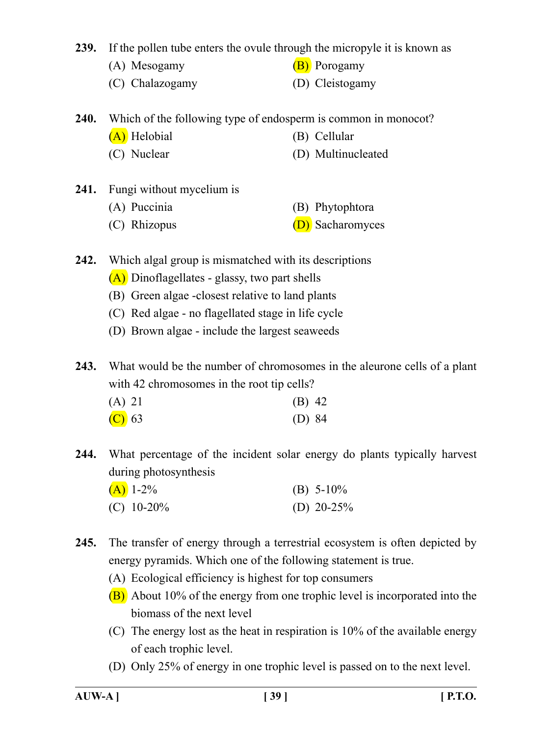**239.** If the pollen tube enters the ovule through the micropyle it is known as

- (A) Mesogamy  $(B)$  Porogamy
- (C) Chalazogamy (D) Cleistogamy
- **240.** Which of the following type of endosperm is common in monocot?
	- (A) Helobial (B) Cellular
	- (C) Nuclear (D) Multinucleated
- **241.** Fungi without mycelium is
	- (A) Puccinia (B) Phytophtora
	- (C) Rhizopus (D) Sacharomyces
- **242.** Which algal group is mismatched with its descriptions
	- (A) Dinoflagellates glassy, two part shells
	- (B) Green algae -closest relative to land plants
	- (C) Red algae no flagellated stage in life cycle
	- (D) Brown algae include the largest seaweeds

**243.** What would be the number of chromosomes in the aleurone cells of a plant with 42 chromosomes in the root tip cells?

| (A) 21                     | $(B)$ 42 |
|----------------------------|----------|
| $\left(\text{C}\right)$ 63 | (D) $84$ |

**244.** What percentage of the incident solar energy do plants typically harvest during photosynthesis

| $(A)$ 1-2%    | (B) $5-10\%$ |
|---------------|--------------|
| (C) $10-20\%$ | (D) $20-25%$ |

- **245.** The transfer of energy through a terrestrial ecosystem is often depicted by energy pyramids. Which one of the following statement is true.
	- (A) Ecological efficiency is highest for top consumers
	- (B) About 10% of the energy from one trophic level is incorporated into the biomass of the next level
	- (C) The energy lost as the heat in respiration is 10% of the available energy of each trophic level.
	- (D) Only 25% of energy in one trophic level is passed on to the next level.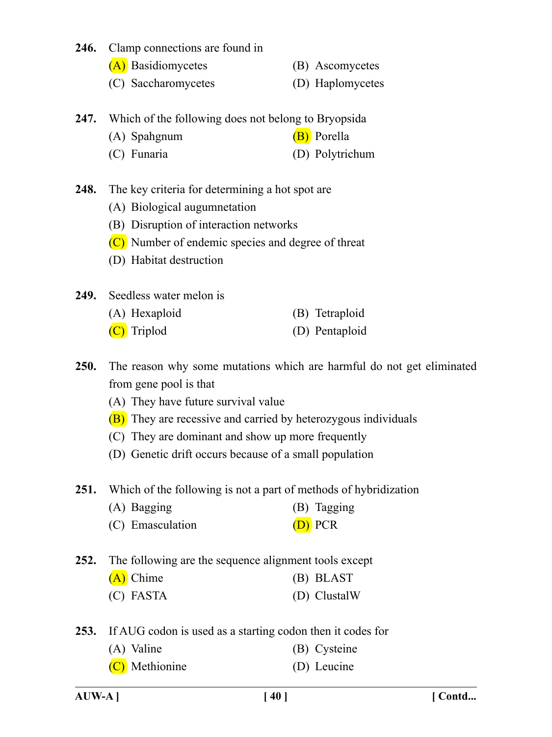#### **246.** Clamp connections are found in

- (A) Basidiomycetes (B) Ascomycetes
- (C) Saccharomycetes (D) Haplomycetes
- **247.** Which of the following does not belong to Bryopsida
	- (A) Spahgnum (B) Porella
	- (C) Funaria (D) Polytrichum
- **248.** The key criteria for determining a hot spot are
	- (A) Biological augumnetation
	- (B) Disruption of interaction networks
	- (C) Number of endemic species and degree of threat
	- (D) Habitat destruction
- **249.** Seedless water melon is

| (A) Hexaploid |  |  | (B) Tetraploid |
|---------------|--|--|----------------|
|               |  |  |                |

- (C) Triplod (D) Pentaploid
- **250.** The reason why some mutations which are harmful do not get eliminated from gene pool is that
	- (A) They have future survival value
	- (B) They are recessive and carried by heterozygous individuals
	- (C) They are dominant and show up more frequently
	- (D) Genetic drift occurs because of a small population
- **251.** Which of the following is not a part of methods of hybridization
	- (A) Bagging (B) Tagging
	- (C) Emasculation (D) PCR
- **252.** The following are the sequence alignment tools except
	- (A) Chime (B) BLAST (C) FASTA (D) ClustalW
- **253.** If AUG codon is used as a starting codon then it codes for
	- (A) Valine (B) Cysteine
	- (C) Methionine (D) Leucine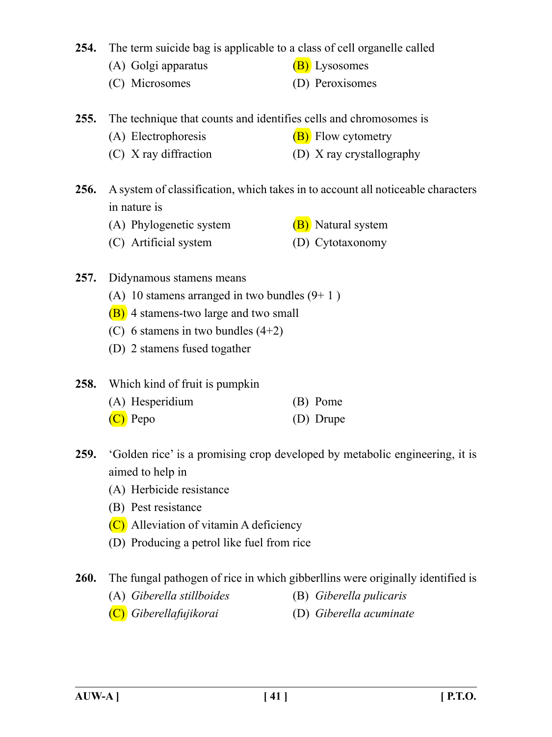**254.** The term suicide bag is applicable to a class of cell organelle called

- (A) Golgi apparatus  $(B)$  Lysosomes
- (C) Microsomes (D) Peroxisomes
- **255.** The technique that counts and identifies cells and chromosomes is
	- (A) Electrophoresis  $(B)$  Flow cytometry
	- (C) X ray diffraction (D) X ray crystallography
- **256.** A system of classification, which takes in to account all noticeable characters in nature is
	- (A) Phylogenetic system  $(B)$  Natural system
	- (C) Artificial system (D) Cytotaxonomy
- **257.** Didynamous stamens means
	- (A) 10 stamens arranged in two bundles  $(9+1)$
	- (B) 4 stamens-two large and two small
	- (C) 6 stamens in two bundles (4+2)
	- (D) 2 stamens fused togather
- **258.** Which kind of fruit is pumpkin
	- (A) Hesperidium (B) Pome
	- (C) Pepo (D) Drupe
- **259.** 'Golden rice' is a promising crop developed by metabolic engineering, it is aimed to help in
	- (A) Herbicide resistance
	- (B) Pest resistance
	- (C) Alleviation of vitamin A deficiency
	- (D) Producing a petrol like fuel from rice

# **260.** The fungal pathogen of rice in which gibberllins were originally identified is

- (A) *Giberella stillboides* (B) *Giberella pulicaris*
- 
- (C) *Giberellafujikorai* (D) *Giberella acuminate*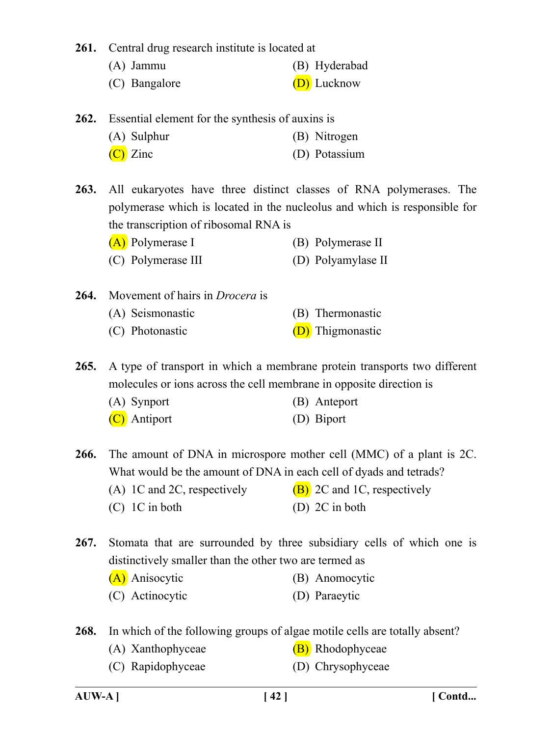**261.** Central drug research institute is located at

- (A) Jammu (B) Hyderabad
- (C) Bangalore (D) Lucknow
- **262.** Essential element for the synthesis of auxins is

| (A) Sulphur | (B) Nitrogen  |
|-------------|---------------|
| $(C)$ Zinc  | (D) Potassium |

**263.** All eukaryotes have three distinct classes of RNA polymerases. The polymerase which is located in the nucleolus and which is responsible for the transcription of ribosomal RNA is

- (A) Polymerase I (B) Polymerase II
- (C) Polymerase III (D) Polyamylase II
- **264.** Movement of hairs in *Drocera* is

| (A) Seismonastic                        | (B) Thermonastic       |
|-----------------------------------------|------------------------|
| $(\bigcap_{n\in\mathbb{N}}\mathbb{R}^n$ | $\sum$ This and $\sum$ |

(C) Photonastic  $(D)$  Thigmonastic

**265.** A type of transport in which a membrane protein transports two different molecules or ions across the cell membrane in opposite direction is

| (A) Synport  | (B) Anteport |
|--------------|--------------|
| (C) Antiport | (D) Biport   |

**266.** The amount of DNA in microspore mother cell (MMC) of a plant is 2C. What would be the amount of DNA in each cell of dyads and tetrads?

- (A) 1C and 2C, respectively  $(B)$  2C and 1C, respectively
- (C) 1C in both (D) 2C in both
- **267.** Stomata that are surrounded by three subsidiary cells of which one is distinctively smaller than the other two are termed as
	- (A) Anisocytic (B) Anomocytic
	- (C) Actinocytic (D) Paraeytic

**268.** In which of the following groups of algae motile cells are totally absent?

- (A) Xanthophyceae  $(B)$  Rhodophyceae
- (C) Rapidophyceae (D) Chrysophyceae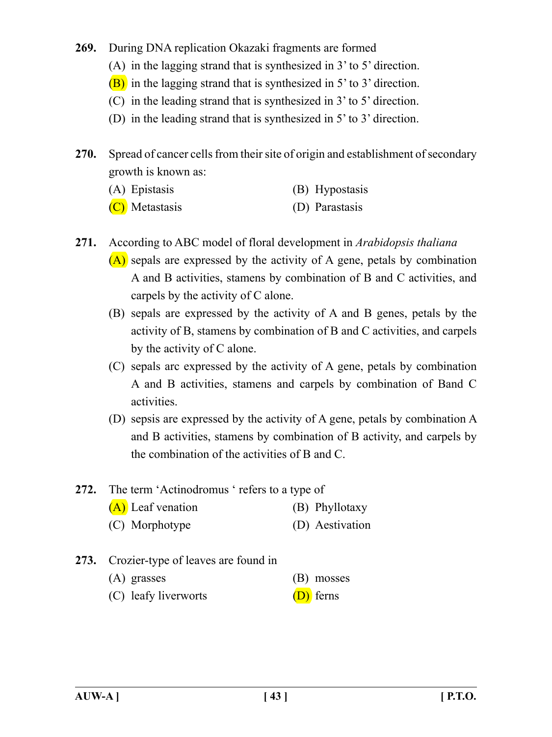- **269.** During DNA replication Okazaki fragments are formed
	- (A) in the lagging strand that is synthesized in 3' to 5' direction.
	- (B) in the lagging strand that is synthesized in 5' to 3' direction.
	- (C) in the leading strand that is synthesized in 3' to 5' direction.
	- (D) in the leading strand that is synthesized in 5' to 3' direction.

**270.** Spread of cancer cells from their site of origin and establishment of secondary growth is known as:

- (A) Epistasis (B) Hypostasis
- (C) Metastasis (D) Parastasis
- **271.** According to ABC model of floral development in *Arabidopsis thaliana*
	- $(A)$  sepals are expressed by the activity of A gene, petals by combination A and B activities, stamens by combination of B and C activities, and carpels by the activity of C alone.
	- (B) sepals are expressed by the activity of A and B genes, petals by the activity of B, stamens by combination of B and C activities, and carpels by the activity of C alone.
	- (C) sepals arc expressed by the activity of A gene, petals by combination A and B activities, stamens and carpels by combination of Band C activities.
	- (D) sepsis are expressed by the activity of A gene, petals by combination A and B activities, stamens by combination of B activity, and carpels by the combination of the activities of B and C.
- **272.** The term 'Actinodromus ' refers to a type of
	- (A) Leaf venation (B) Phyllotaxy
	- (C) Morphotype (D) Aestivation
- **273.** Crozier-type of leaves are found in
	- (A) grasses (B) mosses
	- (C) leafy liverworts (D) ferns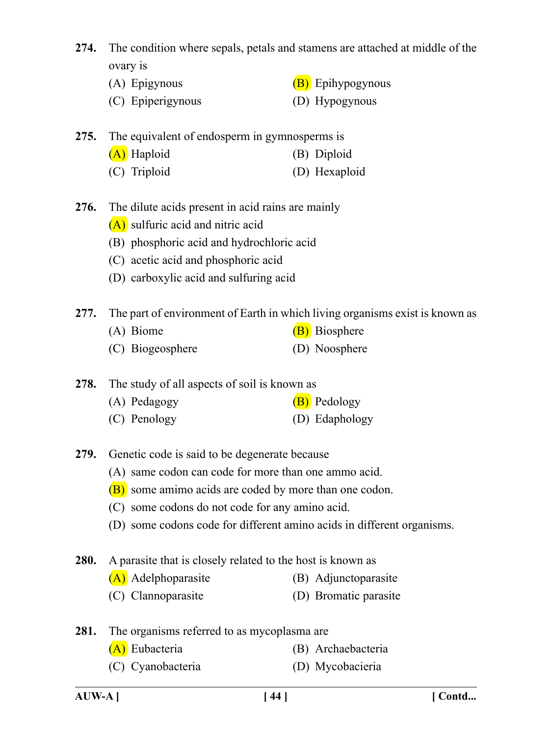**274.** The condition where sepals, petals and stamens are attached at middle of the ovary is

- (A) Epigynous  $(B)$  Epihypogynous
- (C) Epiperigynous (D) Hypogynous

|  | 275. The equivalent of endosperm in gymnosperms is |               |  |  |
|--|----------------------------------------------------|---------------|--|--|
|  | (A) Haploid                                        | (B) Diploid   |  |  |
|  | (C) Triploid                                       | (D) Hexaploid |  |  |

- **276.** The dilute acids present in acid rains are mainly
	- (A) sulfuric acid and nitric acid
	- (B) phosphoric acid and hydrochloric acid
	- (C) acetic acid and phosphoric acid
	- (D) carboxylic acid and sulfuring acid
- **277.** The part of environment of Earth in which living organisms exist is known as
	- (A) Biome (B) Biosphere
	- (C) Biogeosphere (D) Noosphere

**278.** The study of all aspects of soil is known as

- (A) Pedagogy  $(B)$  Pedology
- (C) Penology (D) Edaphology
- **279.** Genetic code is said to be degenerate because
	- (A) same codon can code for more than one ammo acid.
	- (B) some amimo acids are coded by more than one codon.
	- (C) some codons do not code for any amino acid.
	- (D) some codons code for different amino acids in different organisms.
- **280.** A parasite that is closely related to the host is known as
	- (A) Adelphoparasite (B) Adjunctoparasite
	- (C) Clannoparasite (D) Bromatic parasite

**281.** The organisms referred to as mycoplasma are

- (A) Eubacteria (B) Archaebacteria
- (C) Cyanobacteria (D) Mycobacieria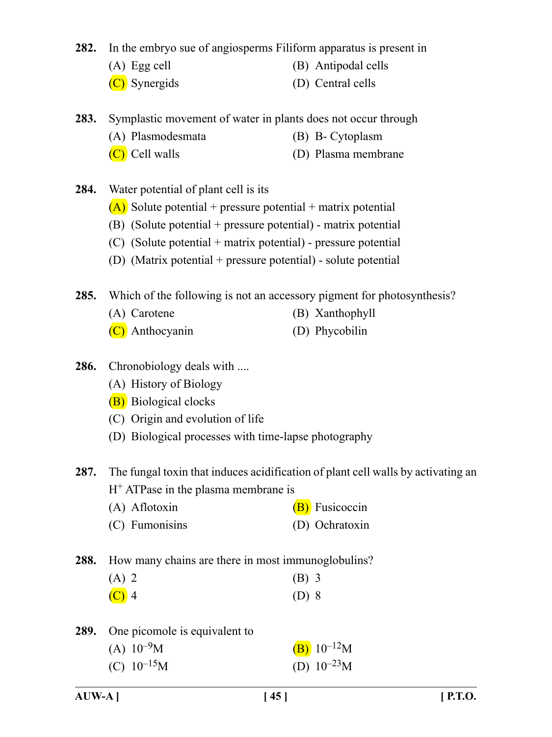**282.** In the embryo sue of angiosperms Filiform apparatus is present in

- (A) Egg cell (B) Antipodal cells
- (C) Synergids (D) Central cells
- **283.** Symplastic movement of water in plants does not occur through
	- (A) Plasmodesmata (B) B- Cytoplasm
	- (C) Cell walls (D) Plasma membrane

**284.** Water potential of plant cell is its

- $(A)$  Solute potential + pressure potential + matrix potential
- (B) (Solute potential + pressure potential) matrix potential
- (C) (Solute potential + matrix potential) pressure potential
- (D) (Matrix potential + pressure potential) solute potential

**285.** Which of the following is not an accessory pigment for photosynthesis?

- (A) Carotene (B) Xanthophyll
- (C) Anthocyanin (D) Phycobilin
- **286.** Chronobiology deals with ....
	- (A) History of Biology
	- (B) Biological clocks
	- (C) Origin and evolution of life
	- (D) Biological processes with time-lapse photography

**287.** The fungal toxin that induces acidification of plant cell walls by activating an  $H<sup>+</sup> ATP$ ase in the plasma membrane is

- (A) Aflotoxin  $(B)$  Fusicoccin
- (C) Fumonisins (D) Ochratoxin

**288.** How many chains are there in most immunoglobulins?

| $(A)$ 2          | $(B)$ 3 |
|------------------|---------|
| $\overline{C}$ 4 | $(D)$ 8 |

**289.** One picomole is equivalent to

| (A) $10^{-9}$ M | $(B) 10^{-12}M$  |
|-----------------|------------------|
| (C) $10^{-15}M$ | (D) $10^{-23}$ M |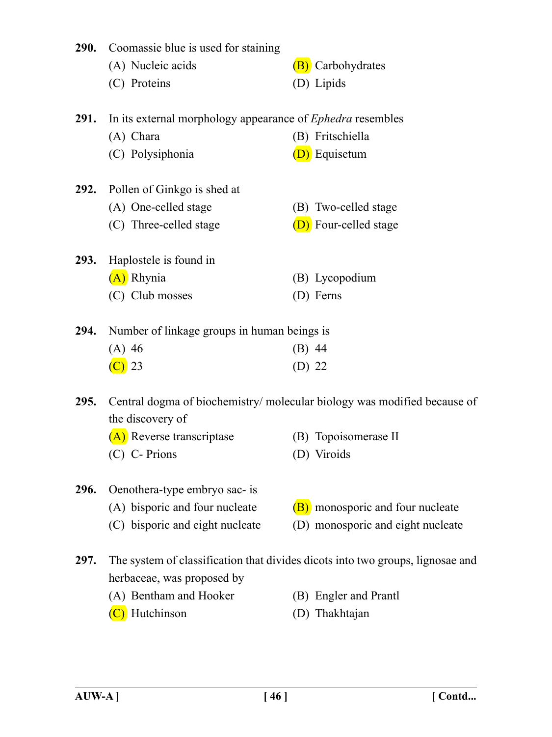|                                                                                        | <b>290.</b> Coomassie blue is used for staining                   |                                   |  |  |
|----------------------------------------------------------------------------------------|-------------------------------------------------------------------|-----------------------------------|--|--|
|                                                                                        | (A) Nucleic acids                                                 | (B) Carbohydrates                 |  |  |
|                                                                                        | (C) Proteins                                                      | (D) Lipids                        |  |  |
| <b>291.</b>                                                                            | In its external morphology appearance of <i>Ephedra</i> resembles |                                   |  |  |
|                                                                                        | (A) Chara                                                         | (B) Fritschiella                  |  |  |
|                                                                                        | (C) Polysiphonia                                                  | (D) Equisetum                     |  |  |
| 292.                                                                                   | Pollen of Ginkgo is shed at                                       |                                   |  |  |
|                                                                                        | (A) One-celled stage                                              | (B) Two-celled stage              |  |  |
|                                                                                        | (C) Three-celled stage                                            | (D) Four-celled stage             |  |  |
| <b>293.</b>                                                                            | Haplostele is found in                                            |                                   |  |  |
|                                                                                        | (A) Rhynia                                                        | (B) Lycopodium                    |  |  |
|                                                                                        | (C) Club mosses                                                   | (D) Ferns                         |  |  |
| Number of linkage groups in human beings is<br>294.                                    |                                                                   |                                   |  |  |
|                                                                                        | $(A)$ 46                                                          | $(B)$ 44                          |  |  |
|                                                                                        | $\left(\text{C}\right)$ 23                                        | $(D)$ 22                          |  |  |
| Central dogma of biochemistry/molecular biology was modified because of<br><b>295.</b> |                                                                   |                                   |  |  |
|                                                                                        | the discovery of                                                  |                                   |  |  |
|                                                                                        | (A) Reverse transcriptase                                         | (B) Topoisomerase II              |  |  |
|                                                                                        | (C) C- Prions                                                     | (D) Viroids                       |  |  |
| 296.                                                                                   | Oenothera-type embryo sac- is                                     |                                   |  |  |
|                                                                                        | (A) bisporic and four nucleate                                    | (B) monosporic and four nucleate  |  |  |
|                                                                                        | bisporic and eight nucleate<br>(C)                                | (D) monosporic and eight nucleate |  |  |

**297.** The system of classification that divides dicots into two groups, lignosae and herbaceae, was proposed by

- (A) Bentham and Hooker (B) Engler and Prantl
- 
- 
- (C) Hutchinson (D) Thakhtajan